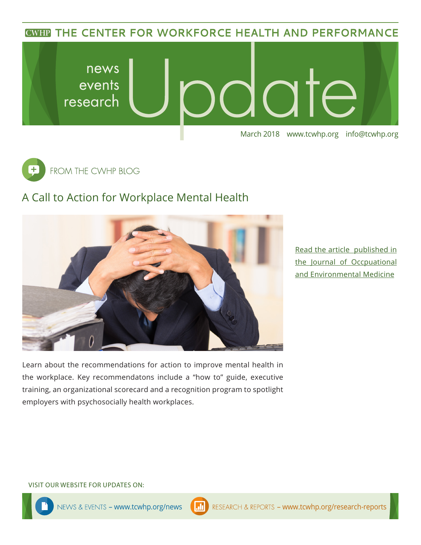**CWHP THE CENTER FOR WORKFORCE HEALTH AND PERFORMANCE** 





## A Call to Action for Workplace Mental Health



Learn about the recommendations for action to improve mental health in the workplace. Key recommendatons include a "how to" guide, executive training, an organizational scorecard and a recognition program to spotlight employers with psychosocially health workplaces.

[Read the article published in](https://www.ncbi.nlm.nih.gov/pubmed/29280775) [the Journal of Occpuational](https://www.ncbi.nlm.nih.gov/pubmed/29280775) [and Environmental Medicine](https://www.ncbi.nlm.nih.gov/pubmed/29280775)

### VISIT OUR WEBSITE FOR UPDATES ON: